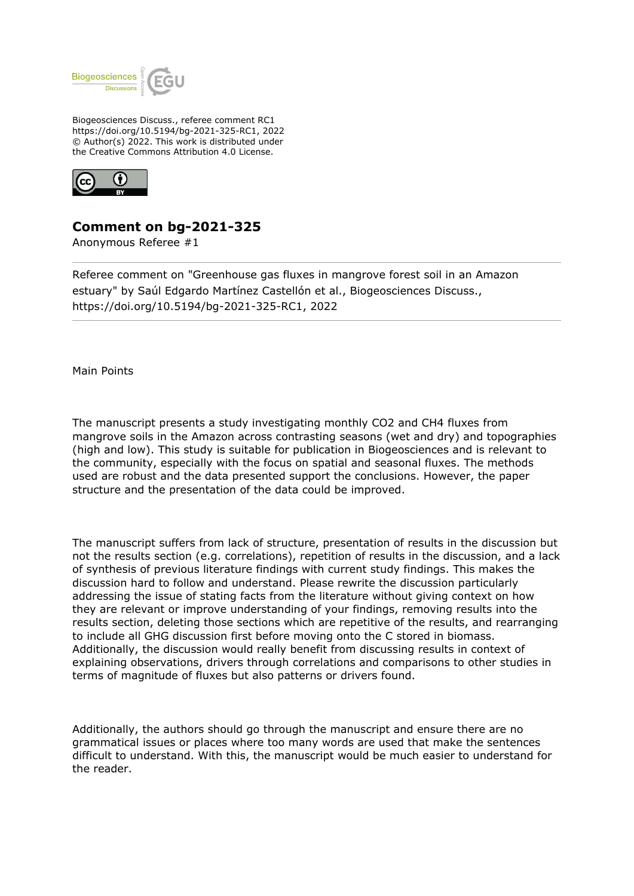

Biogeosciences Discuss., referee comment RC1 https://doi.org/10.5194/bg-2021-325-RC1, 2022 © Author(s) 2022. This work is distributed under the Creative Commons Attribution 4.0 License.



## **Comment on bg-2021-325**

Anonymous Referee #1

Referee comment on "Greenhouse gas fluxes in mangrove forest soil in an Amazon estuary" by Saúl Edgardo Martínez Castellón et al., Biogeosciences Discuss., https://doi.org/10.5194/bg-2021-325-RC1, 2022

Main Points

The manuscript presents a study investigating monthly CO2 and CH4 fluxes from mangrove soils in the Amazon across contrasting seasons (wet and dry) and topographies (high and low). This study is suitable for publication in Biogeosciences and is relevant to the community, especially with the focus on spatial and seasonal fluxes. The methods used are robust and the data presented support the conclusions. However, the paper structure and the presentation of the data could be improved.

The manuscript suffers from lack of structure, presentation of results in the discussion but not the results section (e.g. correlations), repetition of results in the discussion, and a lack of synthesis of previous literature findings with current study findings. This makes the discussion hard to follow and understand. Please rewrite the discussion particularly addressing the issue of stating facts from the literature without giving context on how they are relevant or improve understanding of your findings, removing results into the results section, deleting those sections which are repetitive of the results, and rearranging to include all GHG discussion first before moving onto the C stored in biomass. Additionally, the discussion would really benefit from discussing results in context of explaining observations, drivers through correlations and comparisons to other studies in terms of magnitude of fluxes but also patterns or drivers found.

Additionally, the authors should go through the manuscript and ensure there are no grammatical issues or places where too many words are used that make the sentences difficult to understand. With this, the manuscript would be much easier to understand for the reader.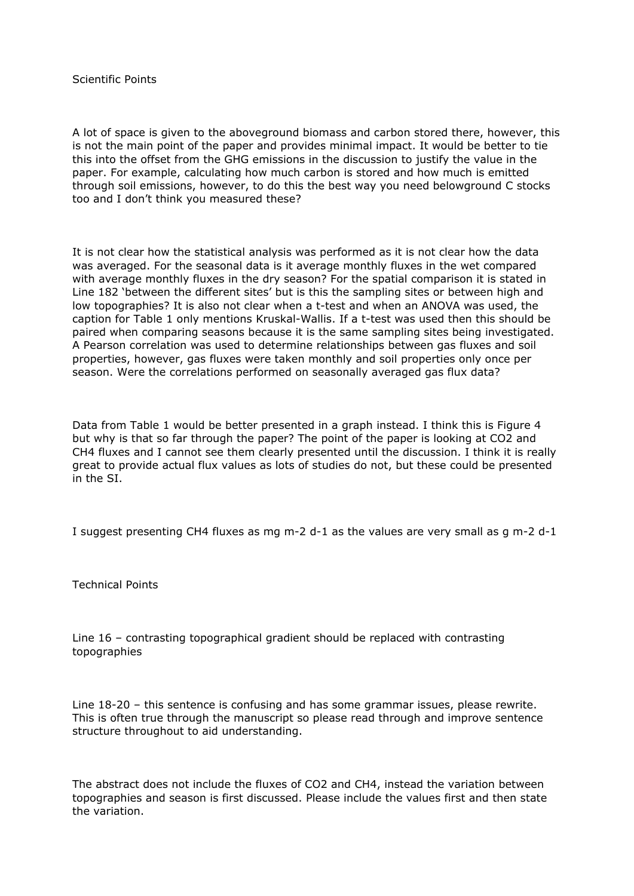## Scientific Points

A lot of space is given to the aboveground biomass and carbon stored there, however, this is not the main point of the paper and provides minimal impact. It would be better to tie this into the offset from the GHG emissions in the discussion to justify the value in the paper. For example, calculating how much carbon is stored and how much is emitted through soil emissions, however, to do this the best way you need belowground C stocks too and I don't think you measured these?

It is not clear how the statistical analysis was performed as it is not clear how the data was averaged. For the seasonal data is it average monthly fluxes in the wet compared with average monthly fluxes in the dry season? For the spatial comparison it is stated in Line 182 'between the different sites' but is this the sampling sites or between high and low topographies? It is also not clear when a t-test and when an ANOVA was used, the caption for Table 1 only mentions Kruskal-Wallis. If a t-test was used then this should be paired when comparing seasons because it is the same sampling sites being investigated. A Pearson correlation was used to determine relationships between gas fluxes and soil properties, however, gas fluxes were taken monthly and soil properties only once per season. Were the correlations performed on seasonally averaged gas flux data?

Data from Table 1 would be better presented in a graph instead. I think this is Figure 4 but why is that so far through the paper? The point of the paper is looking at CO2 and CH4 fluxes and I cannot see them clearly presented until the discussion. I think it is really great to provide actual flux values as lots of studies do not, but these could be presented in the SI.

I suggest presenting CH4 fluxes as mg m-2 d-1 as the values are very small as g m-2 d-1

Technical Points

Line 16 – contrasting topographical gradient should be replaced with contrasting topographies

Line 18-20 – this sentence is confusing and has some grammar issues, please rewrite. This is often true through the manuscript so please read through and improve sentence structure throughout to aid understanding.

The abstract does not include the fluxes of CO2 and CH4, instead the variation between topographies and season is first discussed. Please include the values first and then state the variation.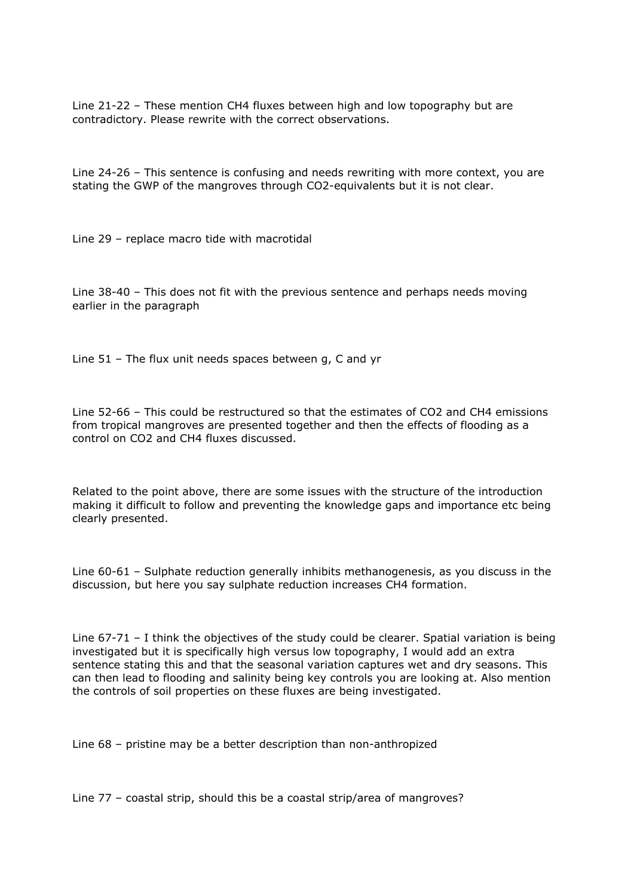Line 21-22 – These mention CH4 fluxes between high and low topography but are contradictory. Please rewrite with the correct observations.

Line 24-26 – This sentence is confusing and needs rewriting with more context, you are stating the GWP of the mangroves through CO2-equivalents but it is not clear.

Line 29 – replace macro tide with macrotidal

Line 38-40 – This does not fit with the previous sentence and perhaps needs moving earlier in the paragraph

Line 51 – The flux unit needs spaces between g, C and yr

Line 52-66 – This could be restructured so that the estimates of CO2 and CH4 emissions from tropical mangroves are presented together and then the effects of flooding as a control on CO2 and CH4 fluxes discussed.

Related to the point above, there are some issues with the structure of the introduction making it difficult to follow and preventing the knowledge gaps and importance etc being clearly presented.

Line 60-61 – Sulphate reduction generally inhibits methanogenesis, as you discuss in the discussion, but here you say sulphate reduction increases CH4 formation.

Line 67-71 – I think the objectives of the study could be clearer. Spatial variation is being investigated but it is specifically high versus low topography, I would add an extra sentence stating this and that the seasonal variation captures wet and dry seasons. This can then lead to flooding and salinity being key controls you are looking at. Also mention the controls of soil properties on these fluxes are being investigated.

Line 68 – pristine may be a better description than non-anthropized

Line 77 – coastal strip, should this be a coastal strip/area of mangroves?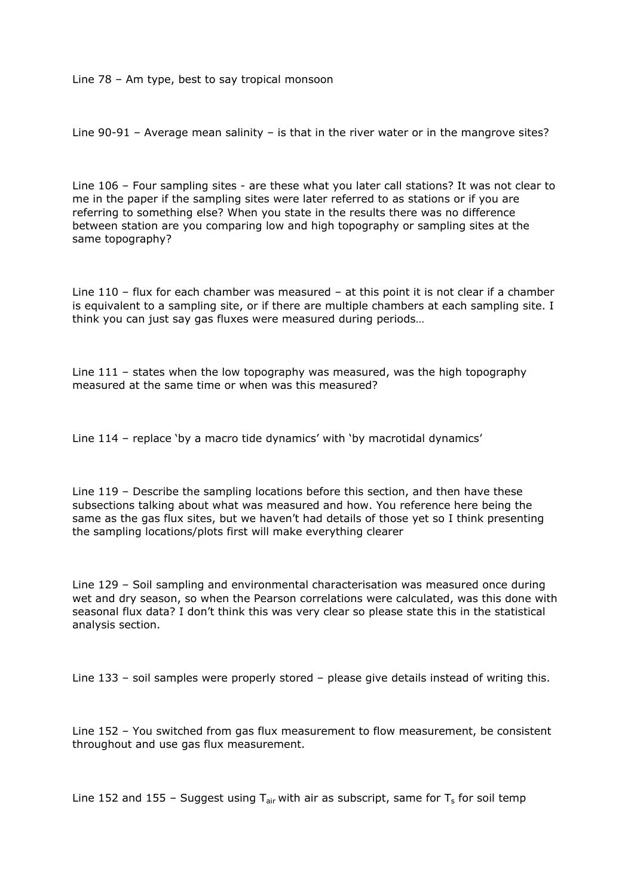Line 78 – Am type, best to say tropical monsoon

Line 90-91 – Average mean salinity – is that in the river water or in the mangrove sites?

Line 106 – Four sampling sites - are these what you later call stations? It was not clear to me in the paper if the sampling sites were later referred to as stations or if you are referring to something else? When you state in the results there was no difference between station are you comparing low and high topography or sampling sites at the same topography?

Line 110 – flux for each chamber was measured – at this point it is not clear if a chamber is equivalent to a sampling site, or if there are multiple chambers at each sampling site. I think you can just say gas fluxes were measured during periods…

Line 111 – states when the low topography was measured, was the high topography measured at the same time or when was this measured?

Line 114 – replace 'by a macro tide dynamics' with 'by macrotidal dynamics'

Line 119 – Describe the sampling locations before this section, and then have these subsections talking about what was measured and how. You reference here being the same as the gas flux sites, but we haven't had details of those yet so I think presenting the sampling locations/plots first will make everything clearer

Line 129 – Soil sampling and environmental characterisation was measured once during wet and dry season, so when the Pearson correlations were calculated, was this done with seasonal flux data? I don't think this was very clear so please state this in the statistical analysis section.

Line 133 – soil samples were properly stored – please give details instead of writing this.

Line 152 – You switched from gas flux measurement to flow measurement, be consistent throughout and use gas flux measurement.

Line 152 and 155 - Suggest using T<sub>air</sub> with air as subscript, same for T<sub>s</sub> for soil temp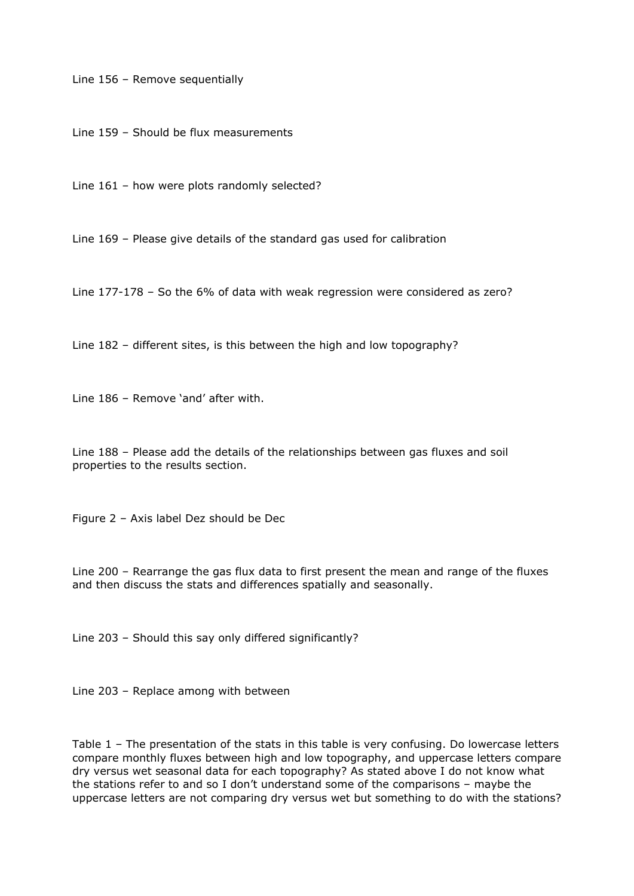Line 156 – Remove sequentially

Line 159 – Should be flux measurements

Line 161 – how were plots randomly selected?

Line 169 – Please give details of the standard gas used for calibration

Line 177-178 – So the 6% of data with weak regression were considered as zero?

Line 182 – different sites, is this between the high and low topography?

Line 186 – Remove 'and' after with.

Line 188 – Please add the details of the relationships between gas fluxes and soil properties to the results section.

Figure 2 – Axis label Dez should be Dec

Line 200 – Rearrange the gas flux data to first present the mean and range of the fluxes and then discuss the stats and differences spatially and seasonally.

Line 203 – Should this say only differed significantly?

Line 203 – Replace among with between

Table 1 – The presentation of the stats in this table is very confusing. Do lowercase letters compare monthly fluxes between high and low topography, and uppercase letters compare dry versus wet seasonal data for each topography? As stated above I do not know what the stations refer to and so I don't understand some of the comparisons – maybe the uppercase letters are not comparing dry versus wet but something to do with the stations?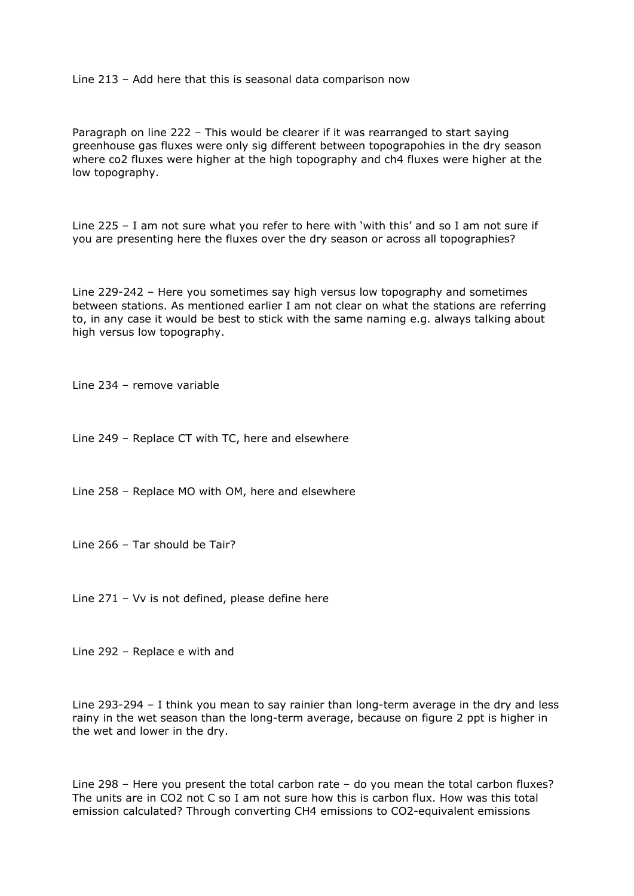Line 213 – Add here that this is seasonal data comparison now

Paragraph on line 222 – This would be clearer if it was rearranged to start saying greenhouse gas fluxes were only sig different between topograpohies in the dry season where co2 fluxes were higher at the high topography and ch4 fluxes were higher at the low topography.

Line 225 – I am not sure what you refer to here with 'with this' and so I am not sure if you are presenting here the fluxes over the dry season or across all topographies?

Line 229-242 – Here you sometimes say high versus low topography and sometimes between stations. As mentioned earlier I am not clear on what the stations are referring to, in any case it would be best to stick with the same naming e.g. always talking about high versus low topography.

Line 234 – remove variable

Line 249 – Replace CT with TC, here and elsewhere

Line 258 – Replace MO with OM, here and elsewhere

Line 266 – Tar should be Tair?

Line 271 – Vv is not defined, please define here

Line 292 – Replace e with and

Line 293-294 – I think you mean to say rainier than long-term average in the dry and less rainy in the wet season than the long-term average, because on figure 2 ppt is higher in the wet and lower in the dry.

Line 298 – Here you present the total carbon rate – do you mean the total carbon fluxes? The units are in CO2 not C so I am not sure how this is carbon flux. How was this total emission calculated? Through converting CH4 emissions to CO2-equivalent emissions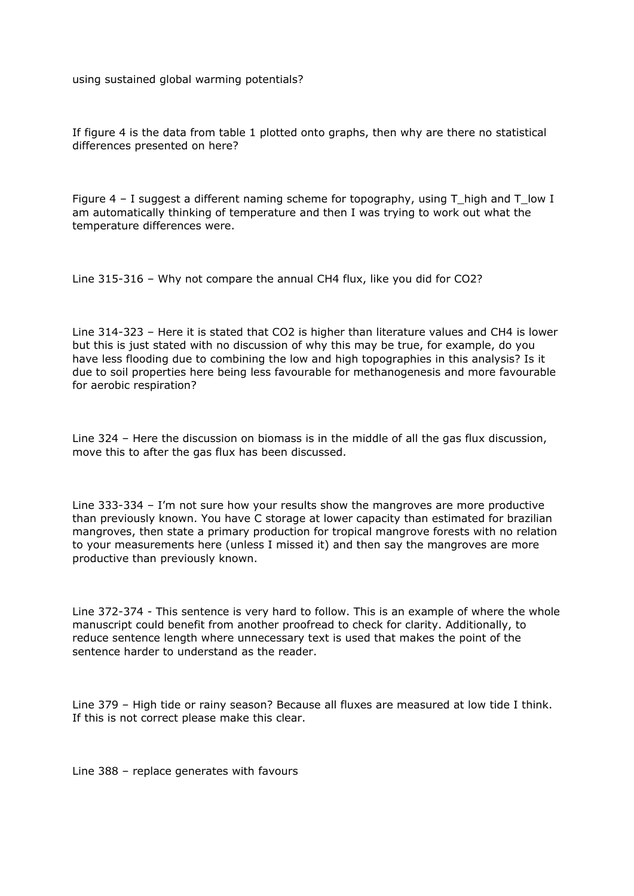using sustained global warming potentials?

If figure 4 is the data from table 1 plotted onto graphs, then why are there no statistical differences presented on here?

Figure 4 – I suggest a different naming scheme for topography, using T\_high and T\_low I am automatically thinking of temperature and then I was trying to work out what the temperature differences were.

Line 315-316 – Why not compare the annual CH4 flux, like you did for CO2?

Line 314-323 – Here it is stated that CO2 is higher than literature values and CH4 is lower but this is just stated with no discussion of why this may be true, for example, do you have less flooding due to combining the low and high topographies in this analysis? Is it due to soil properties here being less favourable for methanogenesis and more favourable for aerobic respiration?

Line 324 – Here the discussion on biomass is in the middle of all the gas flux discussion, move this to after the gas flux has been discussed.

Line 333-334 – I'm not sure how your results show the mangroves are more productive than previously known. You have C storage at lower capacity than estimated for brazilian mangroves, then state a primary production for tropical mangrove forests with no relation to your measurements here (unless I missed it) and then say the mangroves are more productive than previously known.

Line 372-374 - This sentence is very hard to follow. This is an example of where the whole manuscript could benefit from another proofread to check for clarity. Additionally, to reduce sentence length where unnecessary text is used that makes the point of the sentence harder to understand as the reader.

Line 379 – High tide or rainy season? Because all fluxes are measured at low tide I think. If this is not correct please make this clear.

Line 388 – replace generates with favours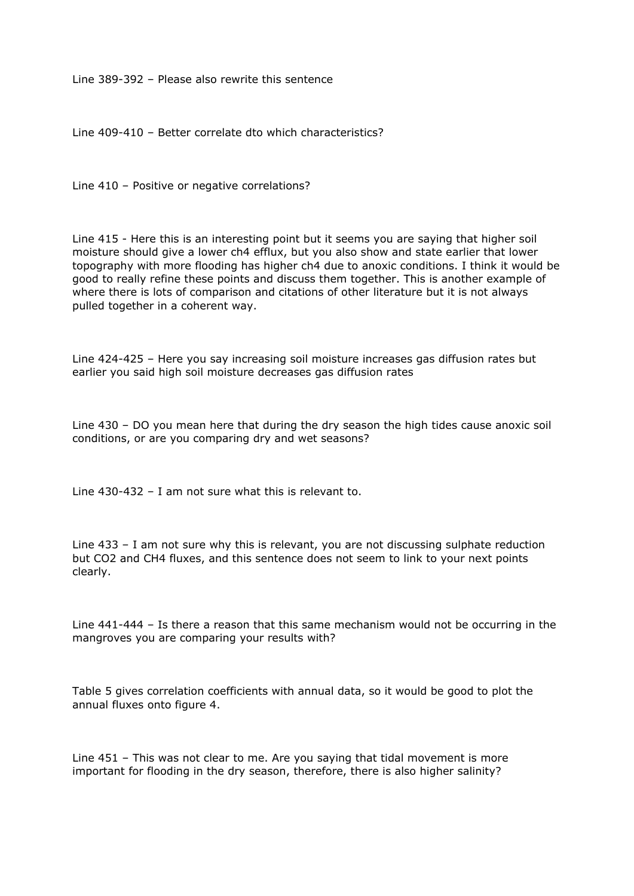Line 389-392 – Please also rewrite this sentence

Line 409-410 – Better correlate dto which characteristics?

Line 410 – Positive or negative correlations?

Line 415 - Here this is an interesting point but it seems you are saying that higher soil moisture should give a lower ch4 efflux, but you also show and state earlier that lower topography with more flooding has higher ch4 due to anoxic conditions. I think it would be good to really refine these points and discuss them together. This is another example of where there is lots of comparison and citations of other literature but it is not always pulled together in a coherent way.

Line 424-425 – Here you say increasing soil moisture increases gas diffusion rates but earlier you said high soil moisture decreases gas diffusion rates

Line 430 – DO you mean here that during the dry season the high tides cause anoxic soil conditions, or are you comparing dry and wet seasons?

Line 430-432 – I am not sure what this is relevant to.

Line 433 – I am not sure why this is relevant, you are not discussing sulphate reduction but CO2 and CH4 fluxes, and this sentence does not seem to link to your next points clearly.

Line 441-444 – Is there a reason that this same mechanism would not be occurring in the mangroves you are comparing your results with?

Table 5 gives correlation coefficients with annual data, so it would be good to plot the annual fluxes onto figure 4.

Line 451 – This was not clear to me. Are you saying that tidal movement is more important for flooding in the dry season, therefore, there is also higher salinity?